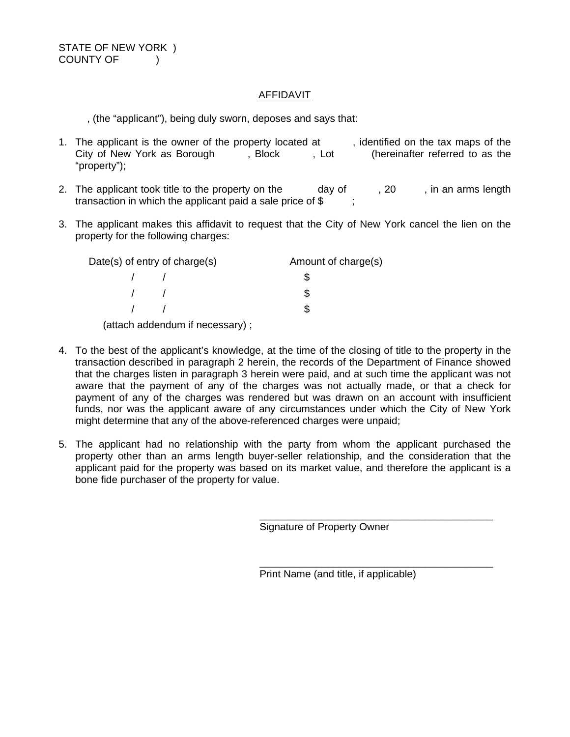### AFFIDAVIT

, (the "applicant"), being duly sworn, deposes and says that:

- 1. The applicant is the owner of the property located at , identified on the tax maps of the City of New York as Borough , Block , Lot (hereinafter referred to as the City of New York as Borough , Block , Lot "property");
- 2. The applicant took title to the property on the day of  $\,$ , 20 , in an arms length transaction in which the applicant paid a sale price of \$
- 3. The applicant makes this affidavit to request that the City of New York cancel the lien on the property for the following charges:

| Date(s) of entry of charge(s) |            | Amount of charge(s) |
|-------------------------------|------------|---------------------|
|                               |            |                     |
|                               | $\sqrt{1}$ |                     |
|                               |            |                     |

(attach addendum if necessary) ;

- 4. To the best of the applicant's knowledge, at the time of the closing of title to the property in the transaction described in paragraph 2 herein, the records of the Department of Finance showed that the charges listen in paragraph 3 herein were paid, and at such time the applicant was not aware that the payment of any of the charges was not actually made, or that a check for payment of any of the charges was rendered but was drawn on an account with insufficient funds, nor was the applicant aware of any circumstances under which the City of New York might determine that any of the above-referenced charges were unpaid;
- 5. The applicant had no relationship with the party from whom the applicant purchased the property other than an arms length buyer-seller relationship, and the consideration that the applicant paid for the property was based on its market value, and therefore the applicant is a bone fide purchaser of the property for value.

Signature of Property Owner

\_\_\_\_\_\_\_\_\_\_\_\_\_\_\_\_\_\_\_\_\_\_\_\_\_\_\_\_\_\_\_\_\_\_\_\_\_\_\_\_\_ Print Name (and title, if applicable)

\_\_\_\_\_\_\_\_\_\_\_\_\_\_\_\_\_\_\_\_\_\_\_\_\_\_\_\_\_\_\_\_\_\_\_\_\_\_\_\_\_